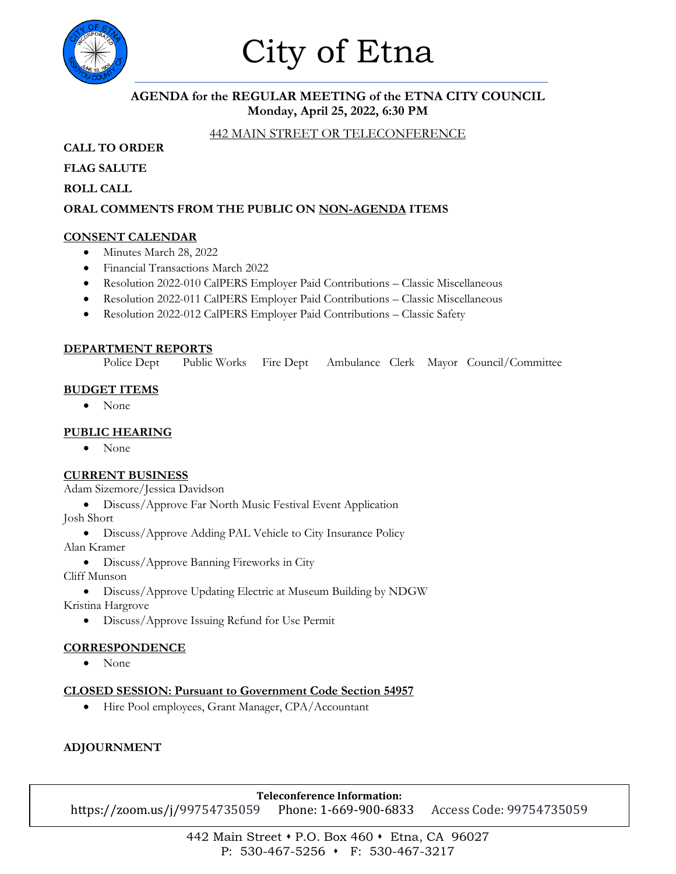

# City of Etna

## **AGENDA for the REGULAR MEETING of the ETNA CITY COUNCIL Monday, April 25, 2022, 6:30 PM**

## 442 MAIN STREET OR TELECONFERENCE

**CALL TO ORDER**

**FLAG SALUTE**

**ROLL CALL**

## **ORAL COMMENTS FROM THE PUBLIC ON NON-AGENDA ITEMS**

#### **CONSENT CALENDAR**

- Minutes March 28, 2022
- Financial Transactions March 2022
- Resolution 2022-010 CalPERS Employer Paid Contributions Classic Miscellaneous
- Resolution 2022-011 CalPERS Employer Paid Contributions Classic Miscellaneous
- Resolution 2022-012 CalPERS Employer Paid Contributions Classic Safety

#### **DEPARTMENT REPORTS**

Police Dept Public Works Fire Dept Ambulance Clerk Mayor Council/Committee

#### **BUDGET ITEMS**

• None

#### **PUBLIC HEARING**

• None

## **CURRENT BUSINESS**

Adam Sizemore/Jessica Davidson

• Discuss/Approve Far North Music Festival Event Application Josh Short

• Discuss/Approve Adding PAL Vehicle to City Insurance Policy

Alan Kramer

• Discuss/Approve Banning Fireworks in City

Cliff Munson

• Discuss/Approve Updating Electric at Museum Building by NDGW

Kristina Hargrove

• Discuss/Approve Issuing Refund for Use Permit

## **CORRESPONDENCE**

• None

#### **CLOSED SESSION: Pursuant to Government Code Section 54957**

• Hire Pool employees, Grant Manager, CPA/Accountant

## **ADJOURNMENT**

**Teleconference Information:** https://zoom.us/j/99754735059 Phone: 1-669-900-6833 Access Code: 99754735059